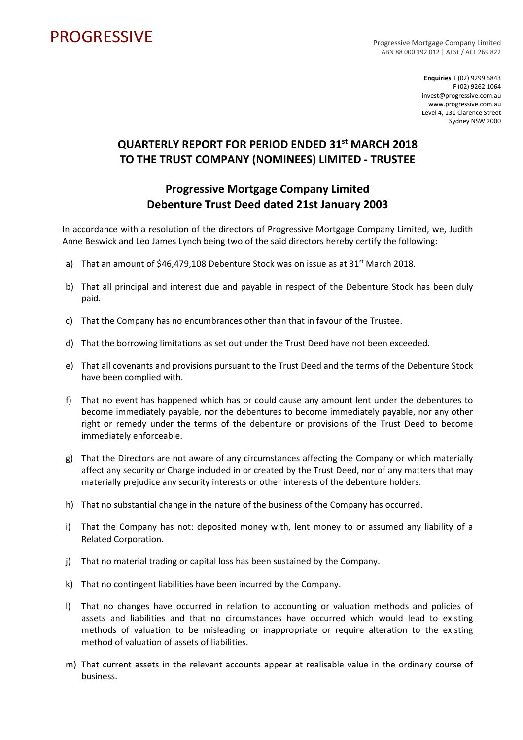## PROGRESSIVE PROGRESSIVE

ABN 88 000 192 012 | AFSL / ACL 269 822

**Enquiries** T (02) 9299 5843 F (02) 9262 1064 invest@progressive.com.au www.progressive.com.au Level 4, 131 Clarence Street Sydney NSW 2000

## **QUARTERLY REPORT FOR PERIOD ENDED 31st MARCH 2018 TO THE TRUST COMPANY (NOMINEES) LIMITED - TRUSTEE**

## **Progressive Mortgage Company Limited Debenture Trust Deed dated 21st January 2003**

In accordance with a resolution of the directors of Progressive Mortgage Company Limited, we, Judith Anne Beswick and Leo James Lynch being two of the said directors hereby certify the following:

- a) That an amount of  $$46,479,108$  Debenture Stock was on issue as at  $31^{st}$  March 2018.
- b) That all principal and interest due and payable in respect of the Debenture Stock has been duly paid.
- c) That the Company has no encumbrances other than that in favour of the Trustee.
- d) That the borrowing limitations as set out under the Trust Deed have not been exceeded.
- e) That all covenants and provisions pursuant to the Trust Deed and the terms of the Debenture Stock have been complied with.
- f) That no event has happened which has or could cause any amount lent under the debentures to become immediately payable, nor the debentures to become immediately payable, nor any other right or remedy under the terms of the debenture or provisions of the Trust Deed to become immediately enforceable.
- g) That the Directors are not aware of any circumstances affecting the Company or which materially affect any security or Charge included in or created by the Trust Deed, nor of any matters that may materially prejudice any security interests or other interests of the debenture holders.
- h) That no substantial change in the nature of the business of the Company has occurred.
- i) That the Company has not: deposited money with, lent money to or assumed any liability of a Related Corporation.
- j) That no material trading or capital loss has been sustained by the Company.
- k) That no contingent liabilities have been incurred by the Company.
- l) That no changes have occurred in relation to accounting or valuation methods and policies of assets and liabilities and that no circumstances have occurred which would lead to existing methods of valuation to be misleading or inappropriate or require alteration to the existing method of valuation of assets of liabilities.
- m) That current assets in the relevant accounts appear at realisable value in the ordinary course of business.